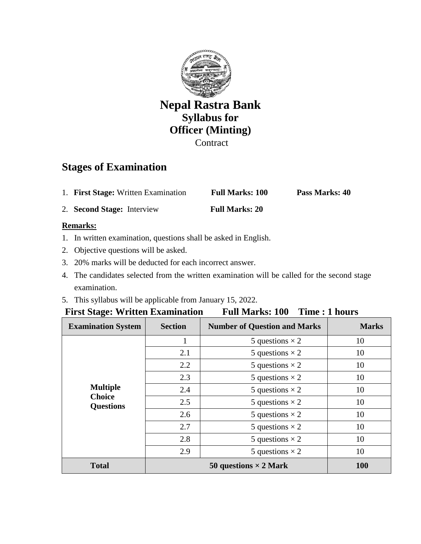

# **Stages of Examination**

1. **First Stage:** Written Examination **Full Marks: 100 Pass Marks: 40**

2. **Second Stage:** Interview **Full Marks: 20**

# **Remarks:**

- 1. In written examination, questions shall be asked in English.
- 2. Objective questions will be asked.
- 3. 20% marks will be deducted for each incorrect answer.
- 4. The candidates selected from the written examination will be called for the second stage examination.
- 5. This syllabus will be applicable from January 15, 2022.

# **First Stage: Written Examination Full Marks: 100 Time : 1 hours**

| <b>Examination System</b>                            | <b>Section</b>               | <b>Number of Question and Marks</b> | <b>Marks</b> |
|------------------------------------------------------|------------------------------|-------------------------------------|--------------|
| <b>Multiple</b><br><b>Choice</b><br><b>Questions</b> |                              | 5 questions $\times$ 2              | 10           |
|                                                      | 2.1                          | 5 questions $\times$ 2              | 10           |
|                                                      | 2.2                          | 5 questions $\times$ 2              | 10           |
|                                                      | 2.3                          | 5 questions $\times$ 2              | 10           |
|                                                      | 2.4                          | 5 questions $\times$ 2              | 10           |
|                                                      | 2.5                          | 5 questions $\times$ 2              | 10           |
|                                                      | 2.6                          | 5 questions $\times$ 2              | 10           |
|                                                      | 2.7                          | 5 questions $\times$ 2              | 10           |
|                                                      | 2.8                          | 5 questions $\times$ 2              | 10           |
|                                                      | 2.9                          | 5 questions $\times$ 2              | 10           |
| <b>Total</b>                                         | 50 questions $\times$ 2 Mark |                                     | <b>100</b>   |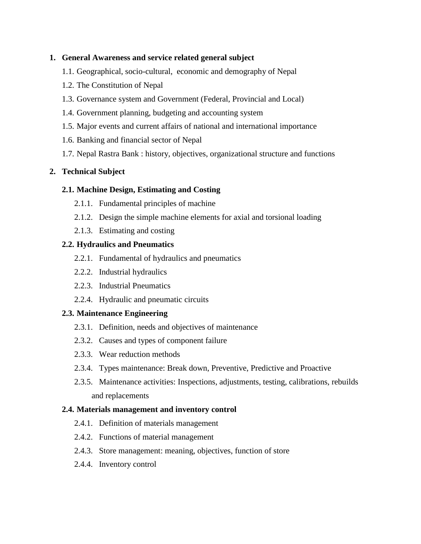## **1. General Awareness and service related general subject**

- 1.1. Geographical, socio-cultural, economic and demography of Nepal
- 1.2. The Constitution of Nepal
- 1.3. Governance system and Government (Federal, Provincial and Local)
- 1.4. Government planning, budgeting and accounting system
- 1.5. Major events and current affairs of national and international importance
- 1.6. Banking and financial sector of Nepal
- 1.7. Nepal Rastra Bank : history, objectives, organizational structure and functions

# **2. Technical Subject**

#### **2.1. Machine Design, Estimating and Costing**

- 2.1.1. Fundamental principles of machine
- 2.1.2. Design the simple machine elements for axial and torsional loading
- 2.1.3. Estimating and costing

## **2.2. Hydraulics and Pneumatics**

- 2.2.1. Fundamental of hydraulics and pneumatics
- 2.2.2. Industrial hydraulics
- 2.2.3. Industrial Pneumatics
- 2.2.4. Hydraulic and pneumatic circuits

#### **2.3. Maintenance Engineering**

- 2.3.1. Definition, needs and objectives of maintenance
- 2.3.2. Causes and types of component failure
- 2.3.3. Wear reduction methods
- 2.3.4. Types maintenance: Break down, Preventive, Predictive and Proactive
- 2.3.5. Maintenance activities: Inspections, adjustments, testing, calibrations, rebuilds and replacements

#### **2.4. Materials management and inventory control**

- 2.4.1. Definition of materials management
- 2.4.2. Functions of material management
- 2.4.3. Store management: meaning, objectives, function of store
- 2.4.4. Inventory control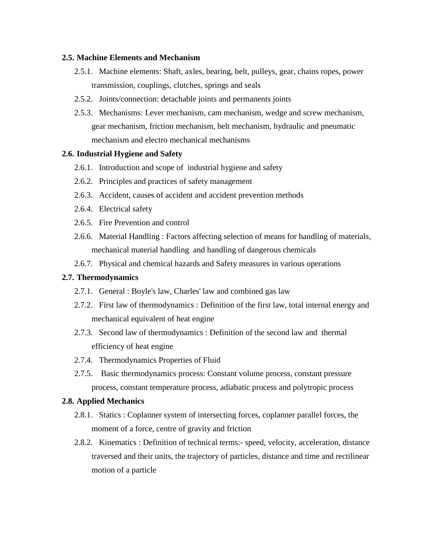#### **2.5. Machine Elements and Mechanism**

- 2.5.1. Machine elements: Shaft, axles, bearing, belt, pulleys, gear, chains ropes, power transmission, couplings, clutches, springs and seals
- 2.5.2. Joints/connection: detachable joints and permanents joints
- 2.5.3. Mechanisms: Lever mechanism, cam mechanism, wedge and screw mechanism, gear mechanism, friction mechanism, belt mechanism, hydraulic and pneumatic mechanism and electro mechanical mechanisms

#### **2.6. Industrial Hygiene and Safety**

- 2.6.1. Introduction and scope of industrial hygiene and safety
- 2.6.2. Principles and practices of safety management
- 2.6.3. Accident, causes of accident and accident prevention methods
- 2.6.4. Electrical safety
- 2.6.5. Fire Prevention and control
- 2.6.6. Material Handling : Factors affecting selection of means for handling of materials, mechanical material handling and handling of dangerous chemicals
- 2.6.7. Physical and chemical hazards and Safety measures in various operations

#### **2.7. Thermodynamics**

- 2.7.1. General : Boyle's law, Charles' law and combined gas law
- 2.7.2. First law of thermodynamics : Definition of the first law, total internal energy and mechanical equivalent of heat engine
- 2.7.3. Second law of thermodynamics : Definition of the second law and thermal efficiency of heat engine
- 2.7.4. Thermodynamics Properties of Fluid
- 2.7.5. Basic thermodynamics process: Constant volume process, constant pressure process, constant temperature process, adiabatic process and polytropic process

#### **2.8. Applied Mechanics**

- 2.8.1. Statics : Coplanner system of intersecting forces, coplanner parallel forces, the moment of a force, centre of gravity and friction
- 2.8.2. Kinematics : Definition of technical terms:- speed, velocity, acceleration, distance traversed and their units, the trajectory of particles, distance and time and rectilinear motion of a particle